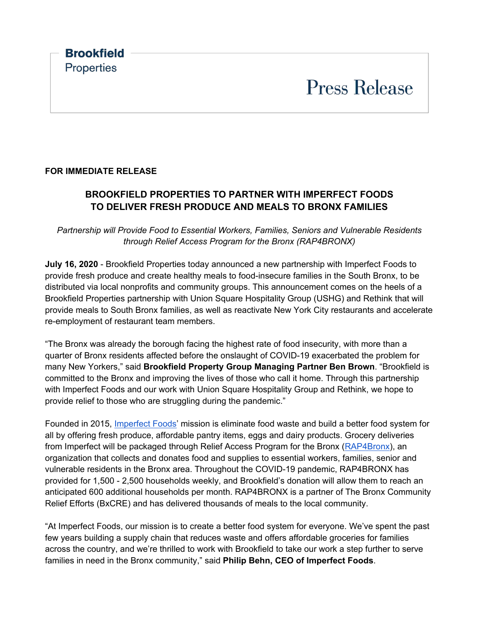# **FOR IMMEDIATE RELEASE**

# **BROOKFIELD PROPERTIES TO PARTNER WITH IMPERFECT FOODS TO DELIVER FRESH PRODUCE AND MEALS TO BRONX FAMILIES**

*Partnership will Provide Food to Essential Workers, Families, Seniors and Vulnerable Residents through Relief Access Program for the Bronx (RAP4BRONX)*

**July 16, 2020** - Brookfield Properties today announced a new partnership with Imperfect Foods to provide fresh produce and create healthy meals to food-insecure families in the South Bronx, to be distributed via local nonprofits and community groups. This announcement comes on the heels of a Brookfield Properties partnership with Union Square Hospitality Group (USHG) and Rethink that will provide meals to South Bronx families, as well as reactivate New York City restaurants and accelerate re-employment of restaurant team members.

"The Bronx was already the borough facing the highest rate of food insecurity, with more than a quarter of Bronx residents affected before the onslaught of COVID-19 exacerbated the problem for many New Yorkers," said **Brookfield Property Group Managing Partner Ben Brown**. "Brookfield is committed to the Bronx and improving the lives of those who call it home. Through this partnership with Imperfect Foods and our work with Union Square Hospitality Group and Rethink, we hope to provide relief to those who are struggling during the pandemic."

Founded in 2015, [Imperfect Foods'](https://www.imperfectfoods.com/) mission is eliminate food waste and build a better food system for all by offering fresh produce, affordable pantry items, eggs and dairy products. Grocery deliveries from Imperfect will be packaged through Relief Access Program for the Bronx [\(RAP4Bronx\)](https://www.rap4bronx.org/), an organization that collects and donates food and supplies to essential workers, families, senior and vulnerable residents in the Bronx area. Throughout the COVID-19 pandemic, RAP4BRONX has provided for 1,500 - 2,500 households weekly, and Brookfield's donation will allow them to reach an anticipated 600 additional households per month. RAP4BRONX is a partner of The Bronx Community Relief Efforts (BxCRE) and has delivered thousands of meals to the local community.

"At Imperfect Foods, our mission is to create a better food system for everyone. We've spent the past few years building a supply chain that reduces waste and offers affordable groceries for families across the country, and we're thrilled to work with Brookfield to take our work a step further to serve families in need in the Bronx community," said **Philip Behn, CEO of Imperfect Foods**.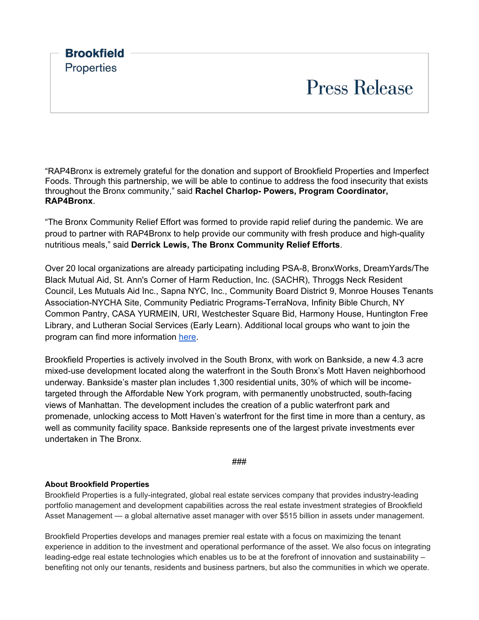

"RAP4Bronx is extremely grateful for the donation and support of Brookfield Properties and Imperfect Foods. Through this partnership, we will be able to continue to address the food insecurity that exists throughout the Bronx community," said **Rachel Charlop- Powers, Program Coordinator, RAP4Bronx**.

"The Bronx Community Relief Effort was formed to provide rapid relief during the pandemic. We are proud to partner with RAP4Bronx to help provide our community with fresh produce and high-quality nutritious meals," said **Derrick Lewis, The Bronx Community Relief Efforts**.

Over 20 local organizations are already participating including PSA-8, BronxWorks, DreamYards/The Black Mutual Aid, St. Ann's Corner of Harm Reduction, Inc. (SACHR), Throggs Neck Resident Council, Les Mutuals Aid Inc., Sapna NYC, Inc., Community Board District 9, Monroe Houses Tenants Association-NYCHA Site, Community Pediatric Programs-TerraNova, Infinity Bible Church, NY Common Pantry, CASA YURMEIN, URI, Westchester Square Bid, Harmony House, Huntington Free Library, and Lutheran Social Services (Early Learn). Additional local groups who want to join the program can find more information [here.](https://docs.google.com/forms/d/e/1FAIpQLScwCAbhAK980J_dfZL7Rx8owyXhjP9U2WduflmGeYKqC0E9dg/viewform)

Brookfield Properties is actively involved in the South Bronx, with work on Bankside, a new 4.3 acre mixed-use development located along the waterfront in the South Bronx's Mott Haven neighborhood underway. Bankside's master plan includes 1,300 residential units, 30% of which will be incometargeted through the Affordable New York program, with permanently unobstructed, south-facing views of Manhattan. The development includes the creation of a public waterfront park and promenade, unlocking access to Mott Haven's waterfront for the first time in more than a century, as well as community facility space. Bankside represents one of the largest private investments ever undertaken in The Bronx.

###

## **About Brookfield Properties**

Brookfield Properties is a fully-integrated, global real estate services company that provides industry-leading portfolio management and development capabilities across the real estate investment strategies of Brookfield Asset Management — a global alternative asset manager with over \$515 billion in assets under management.

Brookfield Properties develops and manages premier real estate with a focus on maximizing the tenant experience in addition to the investment and operational performance of the asset. We also focus on integrating leading-edge real estate technologies which enables us to be at the forefront of innovation and sustainability – benefiting not only our tenants, residents and business partners, but also the communities in which we operate.